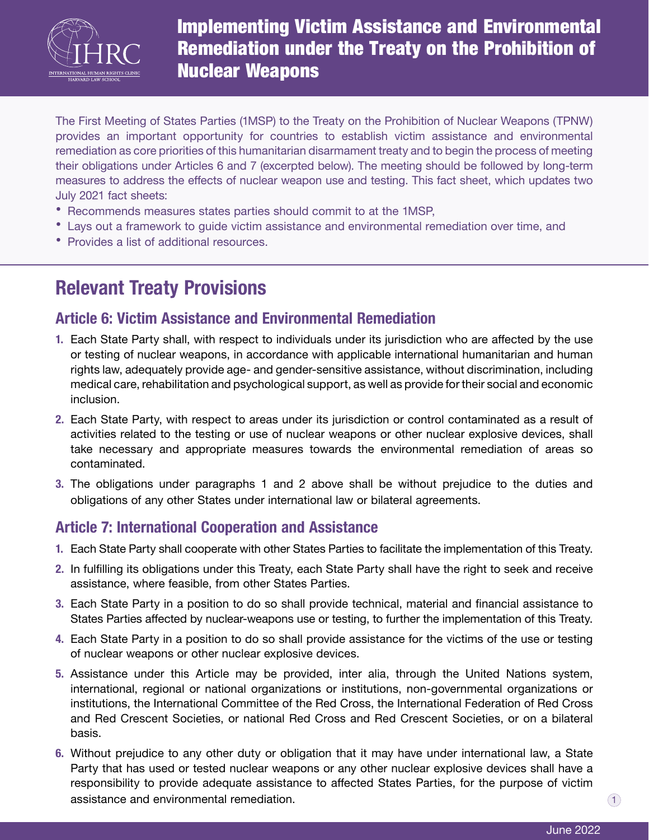

Implementing Victim Assistance and Environmental Remediation under the Treaty on the Prohibition of **Nuclear Weapons** 

The First Meeting of States Parties (1MSP) to the Treaty on the Prohibition of Nuclear Weapons (TPNW) provides an important opportunity for countries to establish victim assistance and environmental remediation as core priorities of this humanitarian disarmament treaty and to begin the process of meeting their obligations under Articles 6 and 7 (excerpted below). The meeting should be followed by long-term measures to address the effects of nuclear weapon use and testing. This fact sheet, which updates two July 2021 fact sheets:

- **•** Recommends measures states parties should commit to at the 1MSP,
- **•** Lays out a framework to guide victim assistance and environmental remediation over time, and
- **•** Provides a list of additional resources.

# **Relevant Treaty Provisions**

# **Article 6: Victim Assistance and Environmental Remediation**

- **1.** Each State Party shall, with respect to individuals under its jurisdiction who are affected by the use or testing of nuclear weapons, in accordance with applicable international humanitarian and human rights law, adequately provide age- and gender-sensitive assistance, without discrimination, including medical care, rehabilitation and psychological support, as well as provide for their social and economic inclusion.
- **2.** Each State Party, with respect to areas under its jurisdiction or control contaminated as a result of activities related to the testing or use of nuclear weapons or other nuclear explosive devices, shall take necessary and appropriate measures towards the environmental remediation of areas so contaminated.
- **3.** The obligations under paragraphs 1 and 2 above shall be without prejudice to the duties and obligations of any other States under international law or bilateral agreements.

# **Article 7: International Cooperation and Assistance**

- **1.** Each State Party shall cooperate with other States Parties to facilitate the implementation of this Treaty.
- **2.** In fulfilling its obligations under this Treaty, each State Party shall have the right to seek and receive assistance, where feasible, from other States Parties.
- **3.** Each State Party in a position to do so shall provide technical, material and financial assistance to States Parties affected by nuclear-weapons use or testing, to further the implementation of this Treaty.
- **4.** Each State Party in a position to do so shall provide assistance for the victims of the use or testing of nuclear weapons or other nuclear explosive devices.
- **5.** Assistance under this Article may be provided, inter alia, through the United Nations system, international, regional or national organizations or institutions, non-governmental organizations or institutions, the International Committee of the Red Cross, the International Federation of Red Cross and Red Crescent Societies, or national Red Cross and Red Crescent Societies, or on a bilateral basis.
- **6.** Without prejudice to any other duty or obligation that it may have under international law, a State Party that has used or tested nuclear weapons or any other nuclear explosive devices shall have a responsibility to provide adequate assistance to affected States Parties, for the purpose of victim  $\alpha$  assistance and environmental remediation.  $\alpha$  is a set of  $\alpha$  is a set of  $\alpha$  is a set of  $\alpha$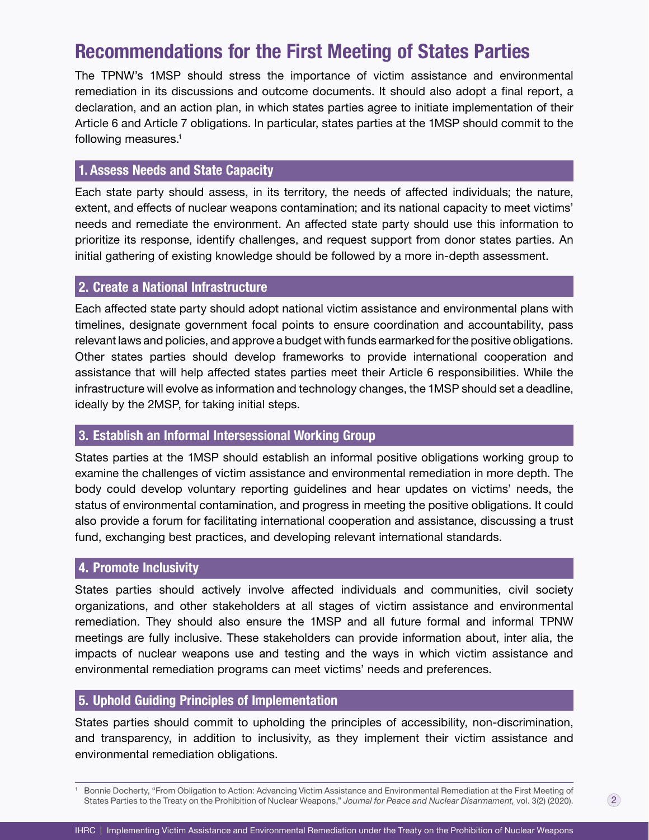# **Recommendations for the First Meeting of States Parties**

following measures.<sup>1</sup> The TPNW's 1MSP should stress the importance of victim assistance and environmental remediation in its discussions and outcome documents. It should also adopt a final report, a declaration, and an action plan, in which states parties agree to initiate implementation of their Article 6 and Article 7 obligations. In particular, states parties at the 1MSP should commit to the

# **1. Assess Needs and State Capacity**

Each state party should assess, in its territory, the needs of affected individuals; the nature, extent, and effects of nuclear weapons contamination; and its national capacity to meet victims' needs and remediate the environment. An affected state party should use this information to prioritize its response, identify challenges, and request support from donor states parties. An initial gathering of existing knowledge should be followed by a more in-depth assessment.

# **2. Create a National Infrastructure**

Each affected state party should adopt national victim assistance and environmental plans with timelines, designate government focal points to ensure coordination and accountability, pass relevant laws and policies, and approve a budget with funds earmarked for the positive obligations. Other states parties should develop frameworks to provide international cooperation and assistance that will help affected states parties meet their Article 6 responsibilities. While the infrastructure will evolve as information and technology changes, the 1MSP should set a deadline, ideally by the 2MSP, for taking initial steps.

## **3. Establish an Informal Intersessional Working Group**

States parties at the 1MSP should establish an informal positive obligations working group to examine the challenges of victim assistance and environmental remediation in more depth. The body could develop voluntary reporting guidelines and hear updates on victims' needs, the status of environmental contamination, and progress in meeting the positive obligations. It could also provide a forum for facilitating international cooperation and assistance, discussing a trust fund, exchanging best practices, and developing relevant international standards.

## **4. Promote Inclusivity**

States parties should actively involve affected individuals and communities, civil society organizations, and other stakeholders at all stages of victim assistance and environmental remediation. They should also ensure the 1MSP and all future formal and informal TPNW meetings are fully inclusive. These stakeholders can provide information about, inter alia, the impacts of nuclear weapons use and testing and the ways in which victim assistance and environmental remediation programs can meet victims' needs and preferences.

# **5. Uphold Guiding Principles of Implementation**

States parties should commit to upholding the principles of accessibility, non-discrimination, and transparency, in addition to inclusivity, as they implement their victim assistance and environmental remediation obligations.

 $^{\rm 1}~$  Bonnie Docherty, "From Obligation to Action: Advancing Victim Assistance and Environmental Remediation at the First Meeting of States Parties to the Treaty on the Prohibition of Nuclear Weapons," *Journal for Peace and Nuclear Disarmament,* vol. 3(2) (2020).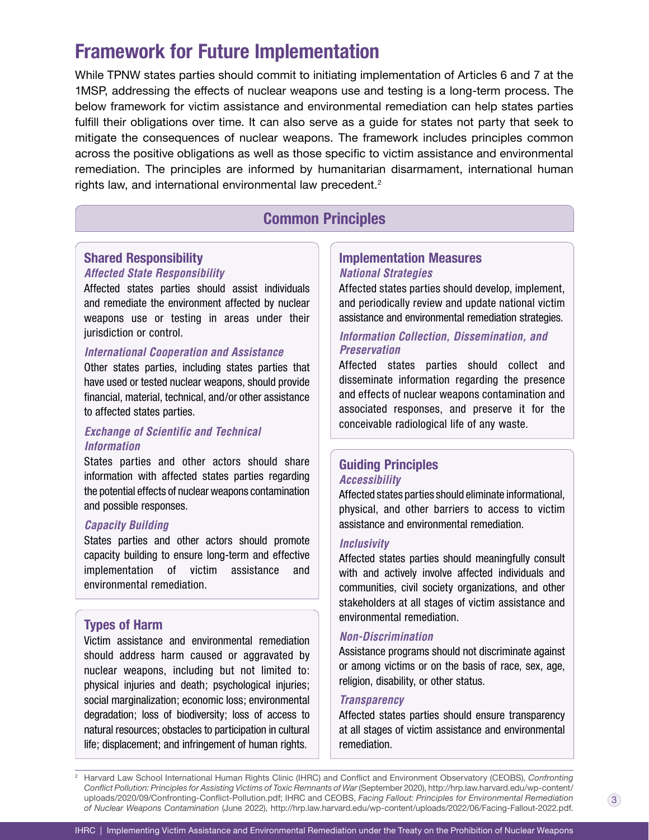# **Framework for Future Implementation**

While TPNW states parties should commit to initiating implementation of Articles 6 and 7 at the 1MSP, addressing the effects of nuclear weapons use and testing is a long-term process. The below framework for victim assistance and environmental remediation can help states parties fulfill their obligations over time. It can also serve as a guide for states not party that seek to mitigate the consequences of nuclear weapons. The framework includes principles common across the positive obligations as well as those specific to victim assistance and environmental remediation. The principles are informed by humanitarian disarmament, international human rights law, and international environmental law precedent.<sup>2</sup>

# **Common Principles**

### **Shared Responsibility Affected State Responsibility**

Affected states parties should assist individuals and remediate the environment affected by nuclear weapons use or testing in areas under their jurisdiction or control.

#### **International Cooperation and Assistance**

Other states parties, including states parties that have used or tested nuclear weapons, should provide fnancial, material, technical, and/or other assistance to affected states parties.

# **Exchange of Scientific and Technical Information**

States parties and other actors should share information with affected states parties regarding the potential effects of nuclear weapons contamination and possible responses.

#### **Capacity Building**

States parties and other actors should promote capacity building to ensure long-term and effective implementation of victim assistance and environmental remediation.

# **Types of Harm**

Victim assistance and environmental remediation should address harm caused or aggravated by nuclear weapons, including but not limited to: physical injuries and death; psychological injuries; social marginalization; economic loss; environmental degradation; loss of biodiversity; loss of access to natural resources; obstacles to participation in cultural life; displacement; and infringement of human rights.

# **National Strategies Implementation Measures**

Affected states parties should develop, implement, and periodically review and update national victim assistance and environmental remediation strategies.

# **Information Collection, Dissemination, and Preservation**

Affected states parties should collect and disseminate information regarding the presence and effects of nuclear weapons contamination and associated responses, and preserve it for the conceivable radiological life of any waste.

# **Guiding Principles Accessibility**

Affected states parties should eliminate informational, physical, and other barriers to access to victim assistance and environmental remediation.

#### **Inclusivity**

Affected states parties should meaningfully consult with and actively involve affected individuals and communities, civil society organizations, and other stakeholders at all stages of victim assistance and environmental remediation.

#### **Non-Discrimination**

 Assistance programs should not discriminate against or among victims or on the basis of race, sex, age, religion, disability, or other status.

#### **Transparency**

Affected states parties should ensure transparency at all stages of victim assistance and environmental remediation.

 uploads/2020/09/Confronting-Conflict-Pollution.pdf; IHRC and CEOBS, *Facing Fallout: Principles for Environmental Remediation of Nuclear Weapons Contamination* (June 2022), [http://hrp.law.harvard.edu/wp-content/uploads/2022/06/Facing-Fallout-2022.pdf.](http://hrp.law.harvard.edu/wp-content/uploads/2022/06/Facing-Fallout-2022.pdf) <sup>2</sup>Harvard Law School International Human Rights Clinic (IHRC) and Conflict and Environment Observatory (CEOBS), *Confronting Conflict Pollution: Principles for Assisting Victims of Toxic Remnants of War* (September 2020),<http://hrp.law.harvard.edu/wp-content>/